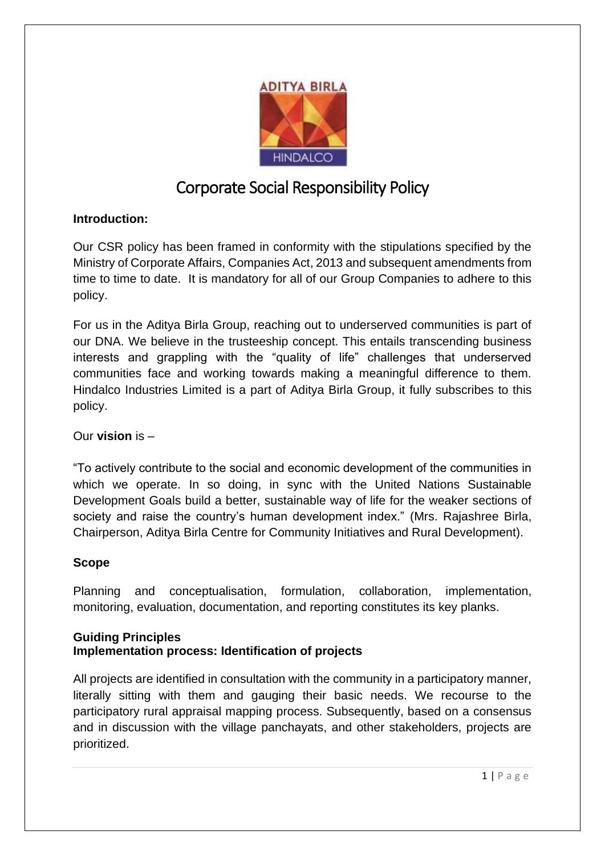

# Corporate Social Responsibility Policy

## **Introduction:**

Our CSR policy has been framed in conformity with the stipulations specified by the Ministry of Corporate Affairs, Companies Act, 2013 and subsequent amendments from time to time to date. It is mandatory for all of our Group Companies to adhere to this policy.

For us in the Aditya Birla Group, reaching out to underserved communities is part of our DNA. We believe in the trusteeship concept. This entails transcending business interests and grappling with the "quality of life" challenges that underserved communities face and working towards making a meaningful difference to them. Hindalco Industries Limited is a part of Aditya Birla Group, it fully subscribes to this policy.

## Our **vision** is –

"To actively contribute to the social and economic development of the communities in which we operate. In so doing, in sync with the United Nations Sustainable Development Goals build a better, sustainable way of life for the weaker sections of society and raise the country's human development index." (Mrs. Rajashree Birla, Chairperson, Aditya Birla Centre for Community Initiatives and Rural Development).

## **Scope**

Planning and conceptualisation, formulation, collaboration, implementation, monitoring, evaluation, documentation, and reporting constitutes its key planks.

#### **Guiding Principles Implementation process: Identification of projects**

All projects are identified in consultation with the community in a participatory manner, literally sitting with them and gauging their basic needs. We recourse to the participatory rural appraisal mapping process. Subsequently, based on a consensus and in discussion with the village panchayats, and other stakeholders, projects are prioritized.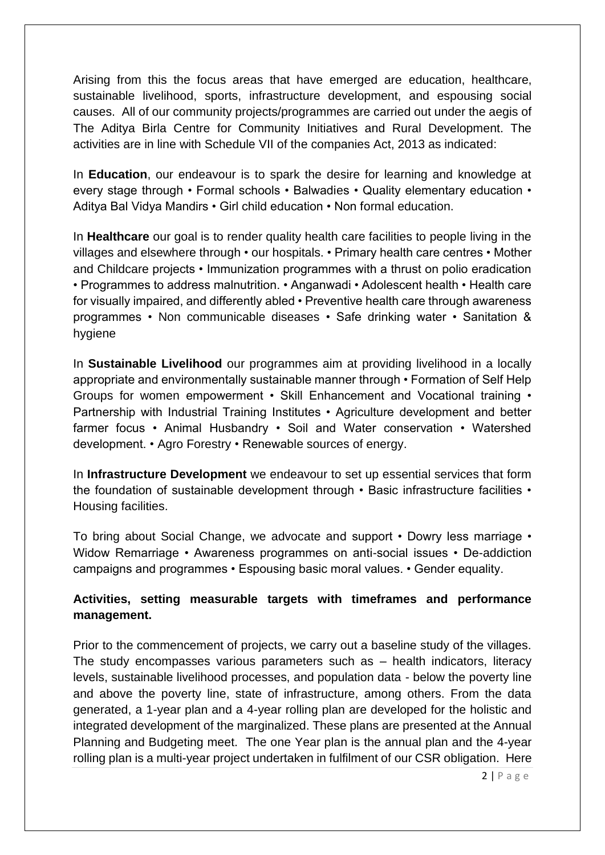Arising from this the focus areas that have emerged are education, healthcare, sustainable livelihood, sports, infrastructure development, and espousing social causes. All of our community projects/programmes are carried out under the aegis of The Aditya Birla Centre for Community Initiatives and Rural Development. The activities are in line with Schedule VII of the companies Act, 2013 as indicated:

In **Education**, our endeavour is to spark the desire for learning and knowledge at every stage through • Formal schools • Balwadies • Quality elementary education • Aditya Bal Vidya Mandirs • Girl child education • Non formal education.

In **Healthcare** our goal is to render quality health care facilities to people living in the villages and elsewhere through • our hospitals. • Primary health care centres • Mother and Childcare projects • Immunization programmes with a thrust on polio eradication • Programmes to address malnutrition. • Anganwadi • Adolescent health • Health care for visually impaired, and differently abled • Preventive health care through awareness programmes • Non communicable diseases • Safe drinking water • Sanitation & hygiene

In **Sustainable Livelihood** our programmes aim at providing livelihood in a locally appropriate and environmentally sustainable manner through • Formation of Self Help Groups for women empowerment • Skill Enhancement and Vocational training • Partnership with Industrial Training Institutes • Agriculture development and better farmer focus • Animal Husbandry • Soil and Water conservation • Watershed development. • Agro Forestry • Renewable sources of energy.

In **Infrastructure Development** we endeavour to set up essential services that form the foundation of sustainable development through • Basic infrastructure facilities • Housing facilities.

To bring about Social Change, we advocate and support • Dowry less marriage • Widow Remarriage • Awareness programmes on anti-social issues • De-addiction campaigns and programmes • Espousing basic moral values. • Gender equality.

# **Activities, setting measurable targets with timeframes and performance management.**

Prior to the commencement of projects, we carry out a baseline study of the villages. The study encompasses various parameters such as – health indicators, literacy levels, sustainable livelihood processes, and population data - below the poverty line and above the poverty line, state of infrastructure, among others. From the data generated, a 1-year plan and a 4-year rolling plan are developed for the holistic and integrated development of the marginalized. These plans are presented at the Annual Planning and Budgeting meet. The one Year plan is the annual plan and the 4-year rolling plan is a multi-year project undertaken in fulfilment of our CSR obligation. Here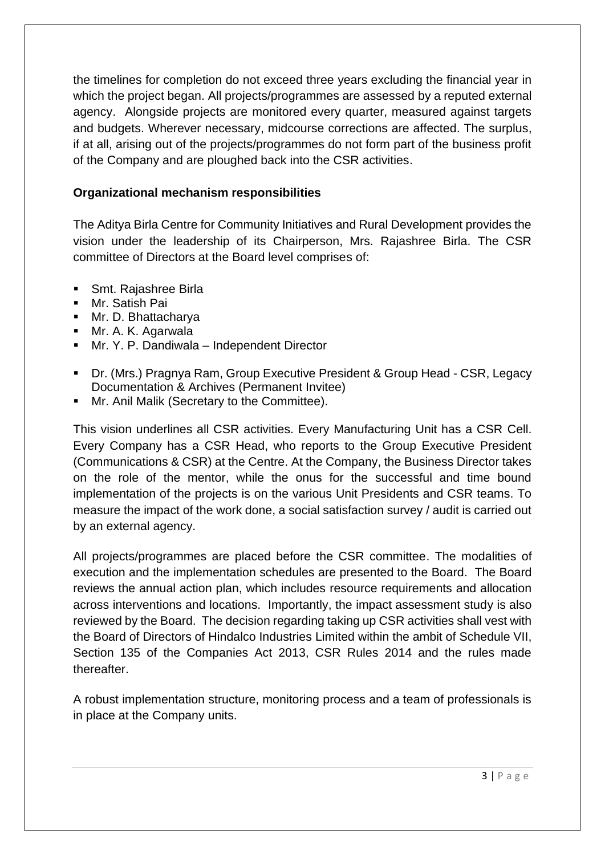the timelines for completion do not exceed three years excluding the financial year in which the project began. All projects/programmes are assessed by a reputed external agency. Alongside projects are monitored every quarter, measured against targets and budgets. Wherever necessary, midcourse corrections are affected. The surplus, if at all, arising out of the projects/programmes do not form part of the business profit of the Company and are ploughed back into the CSR activities.

#### **Organizational mechanism responsibilities**

The Aditya Birla Centre for Community Initiatives and Rural Development provides the vision under the leadership of its Chairperson, Mrs. Rajashree Birla. The CSR committee of Directors at the Board level comprises of:

- Smt. Rajashree Birla
- Mr. Satish Pai
- Mr. D. Bhattacharya
- Mr. A. K. Agarwala
- Mr. Y. P. Dandiwala Independent Director
- Dr. (Mrs.) Pragnya Ram, Group Executive President & Group Head CSR, Legacy Documentation & Archives (Permanent Invitee)
- Mr. Anil Malik (Secretary to the Committee).

This vision underlines all CSR activities. Every Manufacturing Unit has a CSR Cell. Every Company has a CSR Head, who reports to the Group Executive President (Communications & CSR) at the Centre. At the Company, the Business Director takes on the role of the mentor, while the onus for the successful and time bound implementation of the projects is on the various Unit Presidents and CSR teams. To measure the impact of the work done, a social satisfaction survey / audit is carried out by an external agency.

All projects/programmes are placed before the CSR committee. The modalities of execution and the implementation schedules are presented to the Board. The Board reviews the annual action plan, which includes resource requirements and allocation across interventions and locations. Importantly, the impact assessment study is also reviewed by the Board. The decision regarding taking up CSR activities shall vest with the Board of Directors of Hindalco Industries Limited within the ambit of Schedule VII, Section 135 of the Companies Act 2013, CSR Rules 2014 and the rules made thereafter.

A robust implementation structure, monitoring process and a team of professionals is in place at the Company units.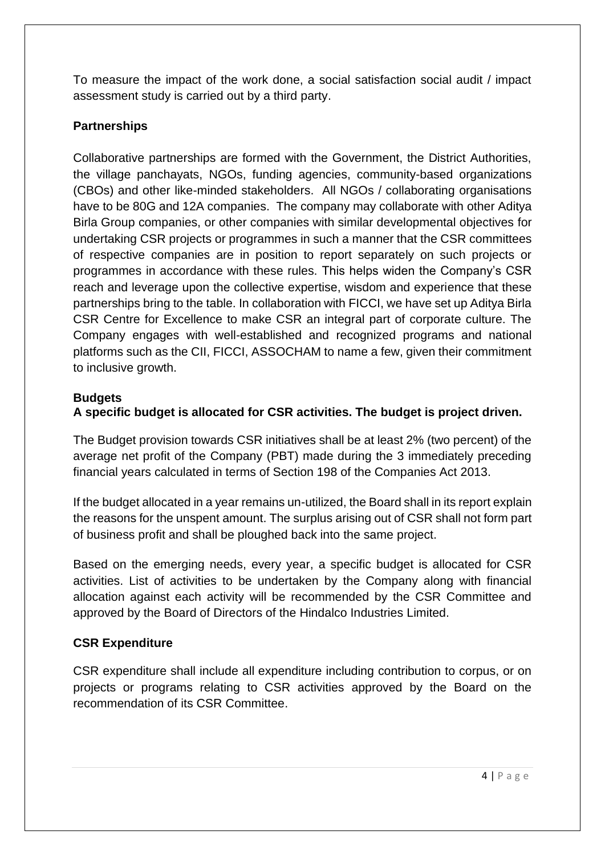To measure the impact of the work done, a social satisfaction social audit / impact assessment study is carried out by a third party.

# **Partnerships**

Collaborative partnerships are formed with the Government, the District Authorities, the village panchayats, NGOs, funding agencies, community-based organizations (CBOs) and other like-minded stakeholders. All NGOs / collaborating organisations have to be 80G and 12A companies. The company may collaborate with other Aditya Birla Group companies, or other companies with similar developmental objectives for undertaking CSR projects or programmes in such a manner that the CSR committees of respective companies are in position to report separately on such projects or programmes in accordance with these rules. This helps widen the Company's CSR reach and leverage upon the collective expertise, wisdom and experience that these partnerships bring to the table. In collaboration with FICCI, we have set up Aditya Birla CSR Centre for Excellence to make CSR an integral part of corporate culture. The Company engages with well-established and recognized programs and national platforms such as the CII, FICCI, ASSOCHAM to name a few, given their commitment to inclusive growth.

## **Budgets**

## **A specific budget is allocated for CSR activities. The budget is project driven.**

The Budget provision towards CSR initiatives shall be at least 2% (two percent) of the average net profit of the Company (PBT) made during the 3 immediately preceding financial years calculated in terms of Section 198 of the Companies Act 2013.

If the budget allocated in a year remains un-utilized, the Board shall in its report explain the reasons for the unspent amount. The surplus arising out of CSR shall not form part of business profit and shall be ploughed back into the same project.

Based on the emerging needs, every year, a specific budget is allocated for CSR activities. List of activities to be undertaken by the Company along with financial allocation against each activity will be recommended by the CSR Committee and approved by the Board of Directors of the Hindalco Industries Limited.

## **CSR Expenditure**

CSR expenditure shall include all expenditure including contribution to corpus, or on projects or programs relating to CSR activities approved by the Board on the recommendation of its CSR Committee.